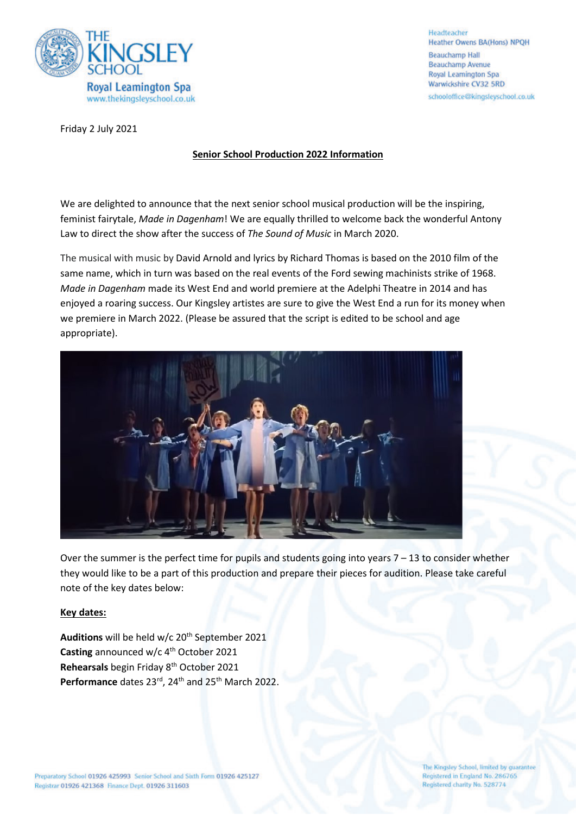

Headteacher **Heather Owens BA(Hons) NPQH Beauchamp Hall Beauchamp Avenue** Royal Learnington Spa Warwickshire CV32 5RD schooloffice@kingsleyschool.co.uk

Friday 2 July 2021

# **Senior School Production 2022 Information**

We are delighted to announce that the next senior school musical production will be the inspiring, feminist fairytale, *Made in Dagenham*! We are equally thrilled to welcome back the wonderful Antony Law to direct the show after the success of *The Sound of Music* in March 2020.

The musical with music by David Arnold and lyrics by Richard Thomas is based on the 2010 film of the same name, which in turn was based on the real events of the Ford sewing machinists strike of 1968. *Made in Dagenham* made its West End and world premiere at the Adelphi Theatre in 2014 and has enjoyed a roaring success. Our Kingsley artistes are sure to give the West End a run for its money when we premiere in March 2022. (Please be assured that the script is edited to be school and age appropriate).



Over the summer is the perfect time for pupils and students going into years 7 – 13 to consider whether they would like to be a part of this production and prepare their pieces for audition. Please take careful note of the key dates below:

## **Key dates:**

Auditions will be held w/c 20<sup>th</sup> September 2021 Casting announced w/c 4<sup>th</sup> October 2021 **Rehearsals** begin Friday 8th October 2021 Performance dates 23<sup>rd</sup>, 24<sup>th</sup> and 25<sup>th</sup> March 2022.

The Kingsley School, limited by guarantee Registered in England No. 286765 Registered charity No. 528774